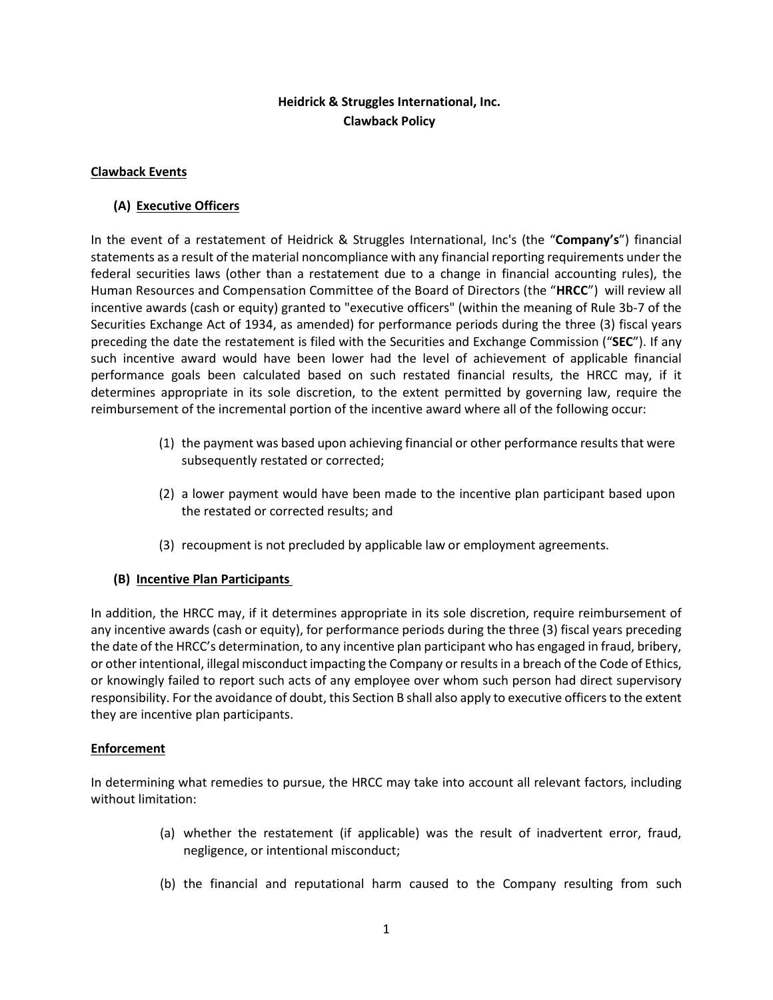# **Heidrick & Struggles International, Inc. Clawback Policy**

### **Clawback Events**

## **(A) Executive Officers**

In the event of a restatement of Heidrick & Struggles International, Inc's (the "**Company's**") financial statements as a result of the material noncompliance with any financial reporting requirements under the federal securities laws (other than a restatement due to a change in financial accounting rules), the Human Resources and Compensation Committee of the Board of Directors (the "**HRCC**") will review all incentive awards (cash or equity) granted to "executive officers" (within the meaning of Rule 3b-7 of the Securities Exchange Act of 1934, as amended) for performance periods during the three (3) fiscal years preceding the date the restatement is filed with the Securities and Exchange Commission ("**SEC**"). If any such incentive award would have been lower had the level of achievement of applicable financial performance goals been calculated based on such restated financial results, the HRCC may, if it determines appropriate in its sole discretion, to the extent permitted by governing law, require the reimbursement of the incremental portion of the incentive award where all of the following occur:

- (1) the payment was based upon achieving financial or other performance results that were subsequently restated or corrected;
- (2) a lower payment would have been made to the incentive plan participant based upon the restated or corrected results; and
- (3) recoupment is not precluded by applicable law or employment agreements.

### **(B) Incentive Plan Participants**

In addition, the HRCC may, if it determines appropriate in its sole discretion, require reimbursement of any incentive awards (cash or equity), for performance periods during the three (3) fiscal years preceding the date of the HRCC's determination, to any incentive plan participant who has engaged in fraud, bribery, or other intentional, illegal misconduct impacting the Company or results in a breach of the Code of Ethics, or knowingly failed to report such acts of any employee over whom such person had direct supervisory responsibility. For the avoidance of doubt, this Section B shall also apply to executive officers to the extent they are incentive plan participants.

### **Enforcement**

In determining what remedies to pursue, the HRCC may take into account all relevant factors, including without limitation:

- (a) whether the restatement (if applicable) was the result of inadvertent error, fraud, negligence, or intentional misconduct;
- (b) the financial and reputational harm caused to the Company resulting from such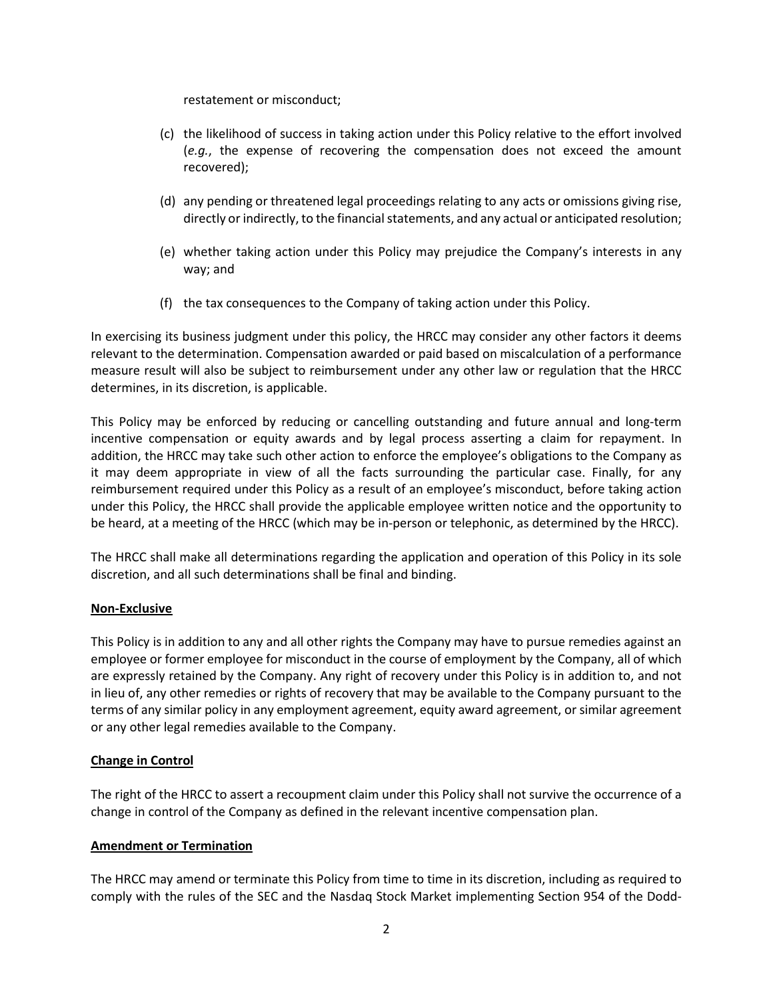restatement or misconduct;

- (c) the likelihood of success in taking action under this Policy relative to the effort involved (*e.g.*, the expense of recovering the compensation does not exceed the amount recovered);
- (d) any pending or threatened legal proceedings relating to any acts or omissions giving rise, directly or indirectly, to the financial statements, and any actual or anticipated resolution;
- (e) whether taking action under this Policy may prejudice the Company's interests in any way; and
- (f) the tax consequences to the Company of taking action under this Policy.

In exercising its business judgment under this policy, the HRCC may consider any other factors it deems relevant to the determination. Compensation awarded or paid based on miscalculation of a performance measure result will also be subject to reimbursement under any other law or regulation that the HRCC determines, in its discretion, is applicable.

This Policy may be enforced by reducing or cancelling outstanding and future annual and long-term incentive compensation or equity awards and by legal process asserting a claim for repayment. In addition, the HRCC may take such other action to enforce the employee's obligations to the Company as it may deem appropriate in view of all the facts surrounding the particular case. Finally, for any reimbursement required under this Policy as a result of an employee's misconduct, before taking action under this Policy, the HRCC shall provide the applicable employee written notice and the opportunity to be heard, at a meeting of the HRCC (which may be in-person or telephonic, as determined by the HRCC).

The HRCC shall make all determinations regarding the application and operation of this Policy in its sole discretion, and all such determinations shall be final and binding.

### **Non-Exclusive**

This Policy is in addition to any and all other rights the Company may have to pursue remedies against an employee or former employee for misconduct in the course of employment by the Company, all of which are expressly retained by the Company. Any right of recovery under this Policy is in addition to, and not in lieu of, any other remedies or rights of recovery that may be available to the Company pursuant to the terms of any similar policy in any employment agreement, equity award agreement, orsimilar agreement or any other legal remedies available to the Company.

### **Change in Control**

The right of the HRCC to assert a recoupment claim under this Policy shall not survive the occurrence of a change in control of the Company as defined in the relevant incentive compensation plan.

### **Amendment or Termination**

The HRCC may amend or terminate this Policy from time to time in its discretion, including as required to comply with the rules of the SEC and the Nasdaq Stock Market implementing Section 954 of the Dodd